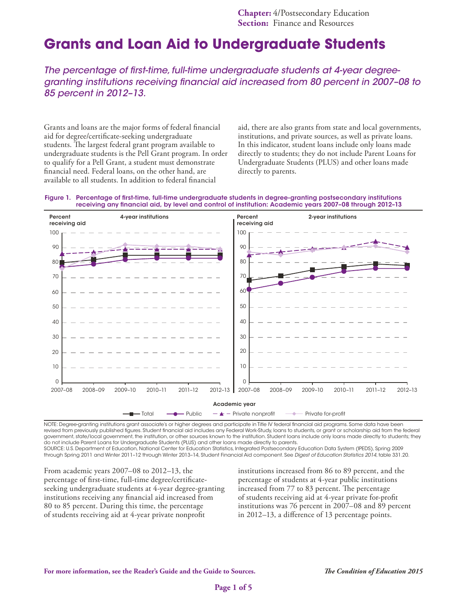# **Grants and Loan Aid to Undergraduate Students**

*The percentage of first-time, full-time undergraduate students at 4-year degreegranting institutions receiving financial aid increased from 80 percent in 2007–08 to 85 percent in 2012–13.*

Grants and loans are the major forms of federal financial aid for degree/certificate-seeking undergraduate students. The largest federal grant program available to undergraduate students is the Pell Grant program. In order to qualify for a Pell Grant, a student must demonstrate financial need. Federal loans, on the other hand, are available to all students. In addition to federal financial

aid, there are also grants from state and local governments, institutions, and private sources, as well as private loans. In this indicator, student loans include only loans made directly to students; they do not include Parent Loans for Undergraduate Students (PLUS) and other loans made directly to parents.





NOTE: Degree-granting institutions grant associate's or higher degrees and participate in Title IV federal financial aid programs. Some data have been revised from previously published figures. Student financial aid includes any Federal Work-Study, loans to students, or grant or scholarship aid from the federal government, state/local government, the institution, or other sources known to the institution. Student loans include only loans made directly to students; they do not include Parent Loans for Undergraduate Students (PLUS) and other loans made directly to parents. SOURCE: U.S. Department of Education, National Center for Education Statistics, Integrated Postsecondary Education Data System (IPEDS), Spring 2009

through Spring 2011 and Winter 2011–12 through Winter 2013–14, Student Financial Aid component. See *Digest of Education Statistics 2014*, table 331.20.

From academic years 2007–08 to 2012–13, the percentage of first-time, full-time degree/certificateseeking undergraduate students at 4-year degree-granting institutions receiving any financial aid increased from 80 to 85 percent. During this time, the percentage of students receiving aid at 4-year private nonprofit

institutions increased from 86 to 89 percent, and the percentage of students at 4-year public institutions increased from 77 to 83 percent. The percentage of students receiving aid at 4-year private for-profit institutions was 76 percent in 2007–08 and 89 percent in 2012–13, a difference of 13 percentage points.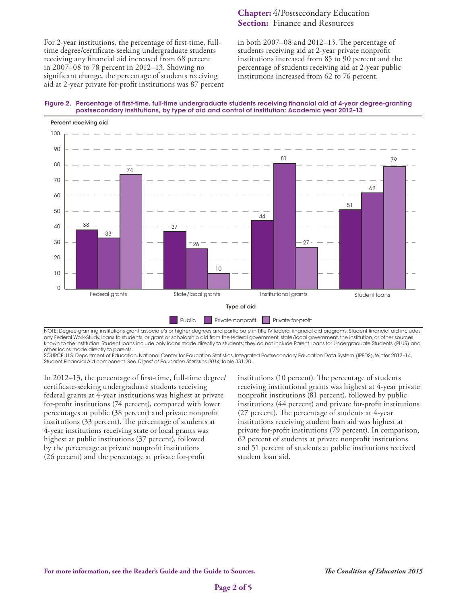For 2-year institutions, the percentage of first-time, fulltime degree/certificate-seeking undergraduate students receiving any financial aid increased from 68 percent in 2007–08 to 78 percent in 2012–13. Showing no significant change, the percentage of students receiving aid at 2-year private for-profit institutions was 87 percent

### **Chapter:** 4/Postsecondary Education **Section:** Finance and Resources

in both 2007–08 and 2012–13. The percentage of students receiving aid at 2-year private nonprofit institutions increased from 85 to 90 percent and the percentage of students receiving aid at 2-year public institutions increased from 62 to 76 percent.





NOTE: Degree-granting institutions grant associate's or higher degrees and participate in Title IV federal financial aid programs. Student financial aid includes any Federal Work-Study, loans to students, or grant or scholarship aid from the federal government, state/local government, the institution, or other sources known to the institution. Student loans include only loans made directly to students; they do not include Parent Loans for Undergraduate Students (PLUS) and other loans made directly to parents.

SOURCE: U.S. Department of Education, National Center for Education Statistics, Integrated Postsecondary Education Data System (IPEDS), Winter 2013–14, Student Financial Aid component. See *Digest of Education Statistics 2014*, table 331.20.

In 2012–13, the percentage of first-time, full-time degree/ certificate-seeking undergraduate students receiving federal grants at 4-year institutions was highest at private for-profit institutions (74 percent), compared with lower percentages at public (38 percent) and private nonprofit institutions (33 percent). The percentage of students at 4-year institutions receiving state or local grants was highest at public institutions (37 percent), followed by the percentage at private nonprofit institutions (26 percent) and the percentage at private for-profit

institutions (10 percent). The percentage of students receiving institutional grants was highest at 4-year private nonprofit institutions (81 percent), followed by public institutions (44 percent) and private for-profit institutions (27 percent). The percentage of students at 4-year institutions receiving student loan aid was highest at private for-profit institutions (79 percent). In comparison, 62 percent of students at private nonprofit institutions and 51 percent of students at public institutions received student loan aid.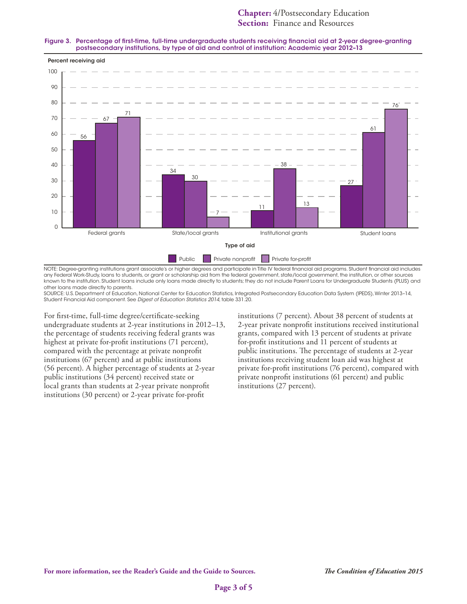## **Chapter:** 4/Postsecondary Education **Section:** Finance and Resources

#### Figure 3. Percentage of first-time, full-time undergraduate students receiving financial aid at 2-year degree-granting postsecondary institutions, by type of aid and control of institution: Academic year 2012–13



NOTE: Degree-granting institutions grant associate's or higher degrees and participate in Title IV federal financial aid programs. Student financial aid includes any Federal Work-Study, loans to students, or grant or scholarship aid from the federal government, state/local government, the institution, or other sources known to the institution. Student loans include only loans made directly to students; they do not include Parent Loans for Undergraduate Students (PLUS) and other loans made directly to parents.

SOURCE: U.S. Department of Education, National Center for Education Statistics, Integrated Postsecondary Education Data System (IPEDS), Winter 2013–14, Student Financial Aid component. See *Digest of Education Statistics 2014*, table 331.20.

For first-time, full-time degree/certificate-seeking undergraduate students at 2-year institutions in 2012–13, the percentage of students receiving federal grants was highest at private for-profit institutions (71 percent), compared with the percentage at private nonprofit institutions (67 percent) and at public institutions (56 percent). A higher percentage of students at 2-year public institutions (34 percent) received state or local grants than students at 2-year private nonprofit institutions (30 percent) or 2-year private for-profit

institutions (7 percent). About 38 percent of students at 2-year private nonprofit institutions received institutional grants, compared with 13 percent of students at private for-profit institutions and 11 percent of students at public institutions. The percentage of students at 2-year institutions receiving student loan aid was highest at private for-profit institutions (76 percent), compared with private nonprofit institutions (61 percent) and public institutions (27 percent).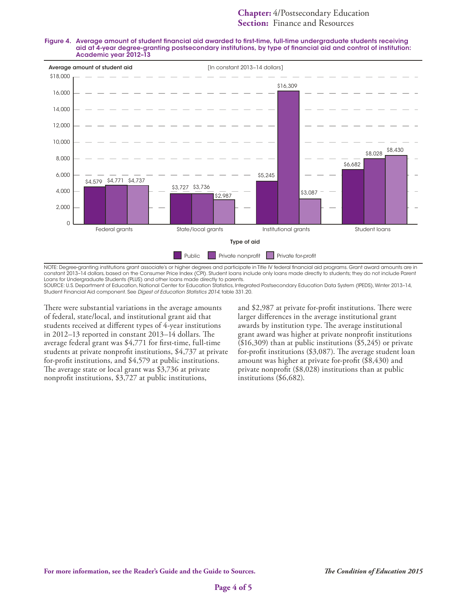



NOTE: Degree-granting institutions grant associate's or higher degrees and participate in Title IV federal financial aid programs. Grant award amounts are in constant 2013–14 dollars, based on the Consumer Price Index (CPI). Student loans include only loans made directly to students; they do not include Parent Loans for Undergraduate Students (PLUS) and other loans made directly to parents.

SOURCE: U.S. Department of Education, National Center for Education Statistics, Integrated Postsecondary Education Data System (IPEDS), Winter 2013–14, Student Financial Aid component. See *Digest of Education Statistics 2014*, table 331.20.

There were substantial variations in the average amounts of federal, state/local, and institutional grant aid that students received at different types of 4-year institutions in 2012–13 reported in constant 2013–14 dollars. The average federal grant was \$4,771 for first-time, full-time students at private nonprofit institutions, \$4,737 at private for-profit institutions, and \$4,579 at public institutions. The average state or local grant was \$3,736 at private nonprofit institutions, \$3,727 at public institutions,

and \$2,987 at private for-profit institutions. There were larger differences in the average institutional grant awards by institution type. The average institutional grant award was higher at private nonprofit institutions (\$16,309) than at public institutions (\$5,245) or private for-profit institutions (\$3,087). The average student loan amount was higher at private for-profit (\$8,430) and private nonprofit (\$8,028) institutions than at public institutions (\$6,682).